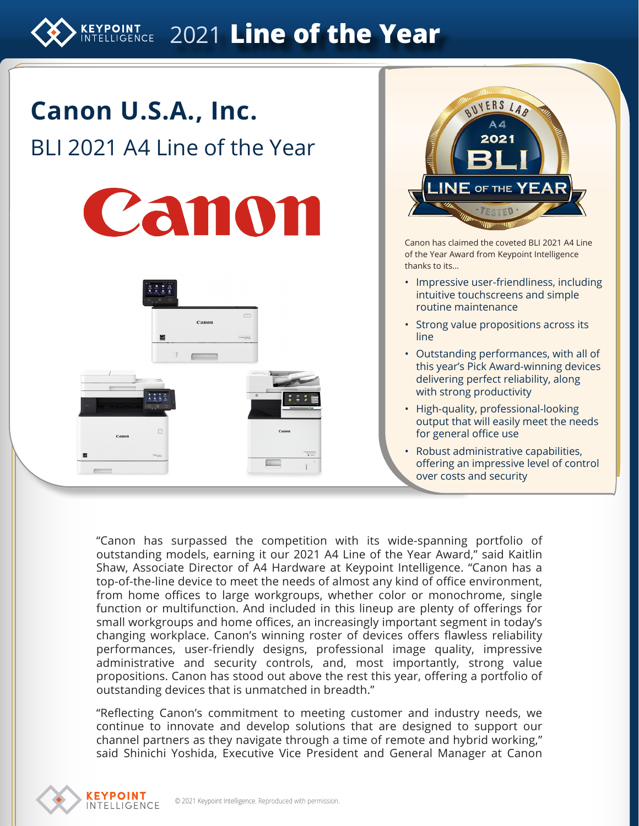# EXPOINT 2021 Line of the Year





Canon has claimed the coveted BLI 2021 A4 Line of the Year Award from Keypoint Intelligence thanks to its…

- Impressive user-friendliness, including intuitive touchscreens and simple routine maintenance
- Strong value propositions across its line
- Outstanding performances, with all of this year's Pick Award-winning devices delivering perfect reliability, along with strong productivity
- High-quality, professional-looking output that will easily meet the needs for general office use
- Robust administrative capabilities, offering an impressive level of control over costs and security

"Canon has surpassed the competition with its wide-spanning portfolio of outstanding models, earning it our 2021 A4 Line of the Year Award," said Kaitlin Shaw, Associate Director of A4 Hardware at Keypoint Intelligence. "Canon has a top-of-the-line device to meet the needs of almost any kind of office environment, from home offices to large workgroups, whether color or monochrome, single function or multifunction. And included in this lineup are plenty of offerings for small workgroups and home offices, an increasingly important segment in today's changing workplace. Canon's winning roster of devices offers flawless reliability performances, user-friendly designs, professional image quality, impressive administrative and security controls, and, most importantly, strong value propositions. Canon has stood out above the rest this year, offering a portfolio of outstanding devices that is unmatched in breadth."

"Reflecting Canon's commitment to meeting customer and industry needs, we continue to innovate and develop solutions that are designed to support our channel partners as they navigate through a time of remote and hybrid working," said Shinichi Yoshida, Executive Vice President and General Manager at Canon

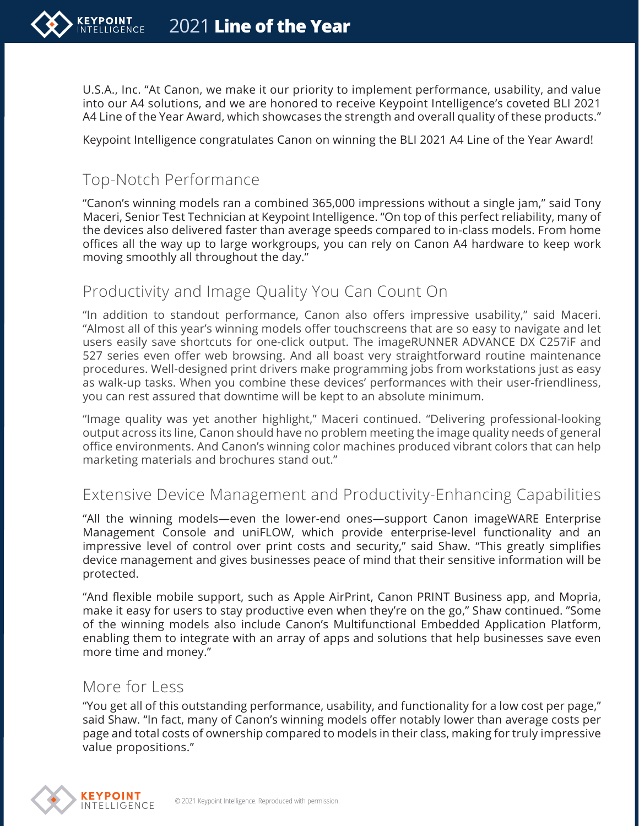U.S.A., Inc. "At Canon, we make it our priority to implement performance, usability, and value into our A4 solutions, and we are honored to receive Keypoint Intelligence's coveted BLI 2021 A4 Line of the Year Award, which showcases the strength and overall quality of these products."

Keypoint Intelligence congratulates Canon on winning the BLI 2021 A4 Line of the Year Award!

## Top-Notch Performance

"Canon's winning models ran a combined 365,000 impressions without a single jam," said Tony Maceri, Senior Test Technician at Keypoint Intelligence. "On top of this perfect reliability, many of the devices also delivered faster than average speeds compared to in-class models. From home offices all the way up to large workgroups, you can rely on Canon A4 hardware to keep work moving smoothly all throughout the day."

#### Productivity and Image Quality You Can Count On

"In addition to standout performance, Canon also offers impressive usability," said Maceri. "Almost all of this year's winning models offer touchscreens that are so easy to navigate and let users easily save shortcuts for one-click output. The imageRUNNER ADVANCE DX C257iF and 527 series even offer web browsing. And all boast very straightforward routine maintenance procedures. Well-designed print drivers make programming jobs from workstations just as easy as walk-up tasks. When you combine these devices' performances with their user-friendliness, you can rest assured that downtime will be kept to an absolute minimum.

"Image quality was yet another highlight," Maceri continued. "Delivering professional-looking output across its line, Canon should have no problem meeting the image quality needs of general office environments. And Canon's winning color machines produced vibrant colors that can help marketing materials and brochures stand out."

#### Extensive Device Management and Productivity-Enhancing Capabilities

"All the winning models—even the lower-end ones—support Canon imageWARE Enterprise Management Console and uniFLOW, which provide enterprise-level functionality and an impressive level of control over print costs and security," said Shaw. "This greatly simplifies device management and gives businesses peace of mind that their sensitive information will be protected.

"And flexible mobile support, such as Apple AirPrint, Canon PRINT Business app, and Mopria, make it easy for users to stay productive even when they're on the go," Shaw continued. "Some of the winning models also include Canon's Multifunctional Embedded Application Platform, enabling them to integrate with an array of apps and solutions that help businesses save even more time and money."

#### More for Less

"You get all of this outstanding performance, usability, and functionality for a low cost per page," said Shaw. "In fact, many of Canon's winning models offer notably lower than average costs per page and total costs of ownership compared to models in their class, making for truly impressive value propositions."

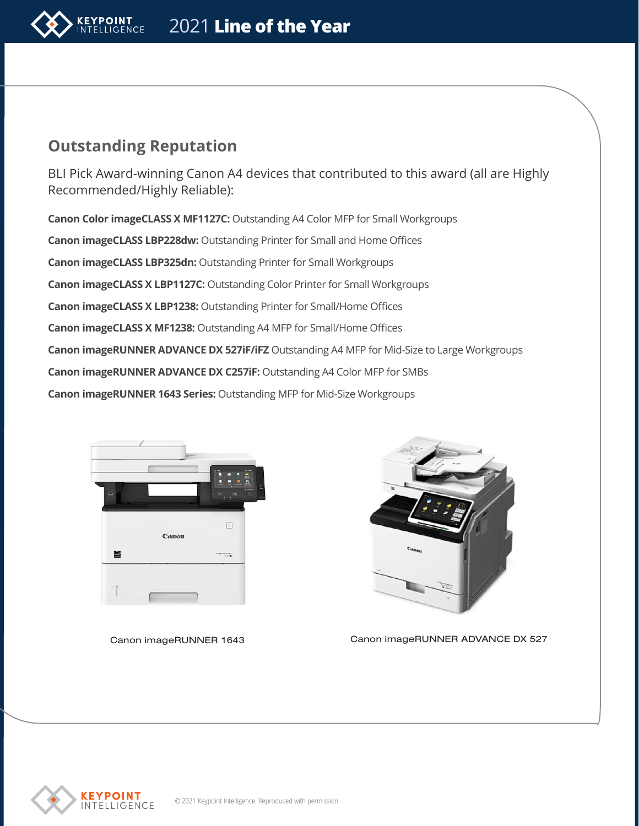

### **Outstanding Reputation**

BLI Pick Award-winning Canon A4 devices that contributed to this award (all are Highly Recommended/Highly Reliable):

**Canon Color imageCLASS X MF1127C:** Outstanding A4 Color MFP for Small Workgroups **Canon imageCLASS LBP228dw:** Outstanding Printer for Small and Home Offices **Canon imageCLASS LBP325dn:** Outstanding Printer for Small Workgroups **Canon imageCLASS X LBP1127C:** Outstanding Color Printer for Small Workgroups **Canon imageCLASS X LBP1238:** Outstanding Printer for Small/Home Offices **Canon imageCLASS X MF1238:** Outstanding A4 MFP for Small/Home Offices **Canon imageRUNNER ADVANCE DX 527iF/iFZ** Outstanding A4 MFP for Mid-Size to Large Workgroups **Canon imageRUNNER ADVANCE DX C257iF:** Outstanding A4 Color MFP for SMBs **Canon imageRUNNER 1643 Series:** Outstanding MFP for Mid-Size Workgroups



Canon imageRUNNER 1643



Canon imageRUNNER ADVANCE DX 527